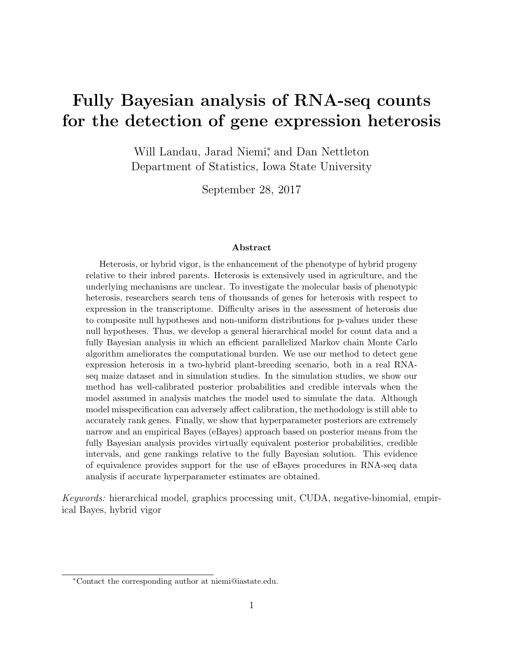# Fully Bayesian analysis of RNA-seq counts for the detection of gene expression heterosis

Will Landau, Jarad Niemi<sup>\*</sup>, and Dan Nettleton Department of Statistics, Iowa State University

September 28, 2017

#### Abstract

Heterosis, or hybrid vigor, is the enhancement of the phenotype of hybrid progeny relative to their inbred parents. Heterosis is extensively used in agriculture, and the underlying mechanisms are unclear. To investigate the molecular basis of phenotypic heterosis, researchers search tens of thousands of genes for heterosis with respect to expression in the transcriptome. Difficulty arises in the assessment of heterosis due to composite null hypotheses and non-uniform distributions for p-values under these null hypotheses. Thus, we develop a general hierarchical model for count data and a fully Bayesian analysis in which an efficient parallelized Markov chain Monte Carlo algorithm ameliorates the computational burden. We use our method to detect gene expression heterosis in a two-hybrid plant-breeding scenario, both in a real RNAseq maize dataset and in simulation studies. In the simulation studies, we show our method has well-calibrated posterior probabilities and credible intervals when the model assumed in analysis matches the model used to simulate the data. Although model misspecification can adversely affect calibration, the methodology is still able to accurately rank genes. Finally, we show that hyperparameter posteriors are extremely narrow and an empirical Bayes (eBayes) approach based on posterior means from the fully Bayesian analysis provides virtually equivalent posterior probabilities, credible intervals, and gene rankings relative to the fully Bayesian solution. This evidence of equivalence provides support for the use of eBayes procedures in RNA-seq data analysis if accurate hyperparameter estimates are obtained.

Keywords: hierarchical model, graphics processing unit, CUDA, negative-binomial, empirical Bayes, hybrid vigor

<sup>∗</sup>Contact the corresponding author at niemi@iastate.edu.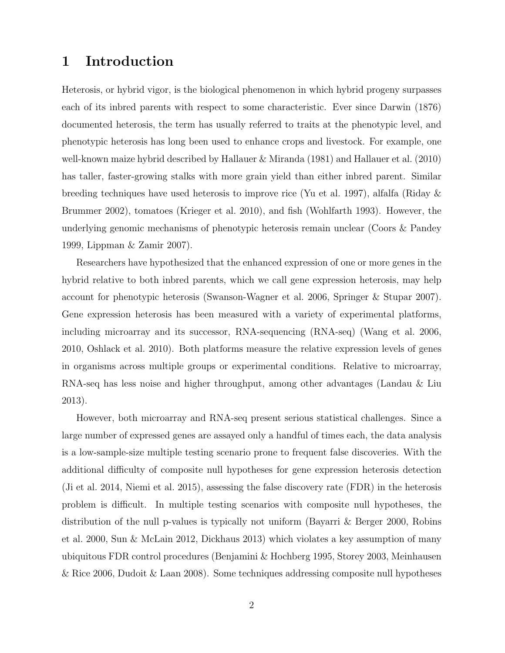## 1 Introduction

Heterosis, or hybrid vigor, is the biological phenomenon in which hybrid progeny surpasses each of its inbred parents with respect to some characteristic. Ever since Darwin (1876) documented heterosis, the term has usually referred to traits at the phenotypic level, and phenotypic heterosis has long been used to enhance crops and livestock. For example, one well-known maize hybrid described by Hallauer & Miranda (1981) and Hallauer et al. (2010) has taller, faster-growing stalks with more grain yield than either inbred parent. Similar breeding techniques have used heterosis to improve rice (Yu et al. 1997), alfalfa (Riday & Brummer 2002), tomatoes (Krieger et al. 2010), and fish (Wohlfarth 1993). However, the underlying genomic mechanisms of phenotypic heterosis remain unclear (Coors & Pandey 1999, Lippman & Zamir 2007).

Researchers have hypothesized that the enhanced expression of one or more genes in the hybrid relative to both inbred parents, which we call gene expression heterosis, may help account for phenotypic heterosis (Swanson-Wagner et al. 2006, Springer & Stupar 2007). Gene expression heterosis has been measured with a variety of experimental platforms, including microarray and its successor, RNA-sequencing (RNA-seq) (Wang et al. 2006, 2010, Oshlack et al. 2010). Both platforms measure the relative expression levels of genes in organisms across multiple groups or experimental conditions. Relative to microarray, RNA-seq has less noise and higher throughput, among other advantages (Landau & Liu 2013).

However, both microarray and RNA-seq present serious statistical challenges. Since a large number of expressed genes are assayed only a handful of times each, the data analysis is a low-sample-size multiple testing scenario prone to frequent false discoveries. With the additional difficulty of composite null hypotheses for gene expression heterosis detection (Ji et al. 2014, Niemi et al. 2015), assessing the false discovery rate (FDR) in the heterosis problem is difficult. In multiple testing scenarios with composite null hypotheses, the distribution of the null p-values is typically not uniform (Bayarri & Berger 2000, Robins et al. 2000, Sun & McLain 2012, Dickhaus 2013) which violates a key assumption of many ubiquitous FDR control procedures (Benjamini & Hochberg 1995, Storey 2003, Meinhausen & Rice 2006, Dudoit & Laan 2008). Some techniques addressing composite null hypotheses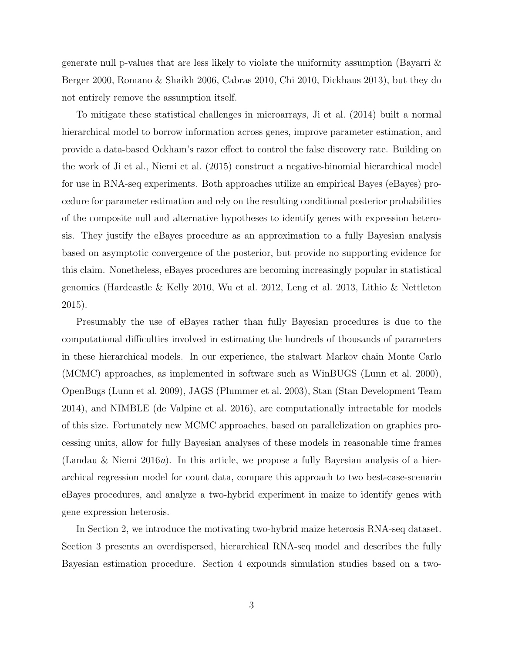generate null p-values that are less likely to violate the uniformity assumption (Bayarri & Berger 2000, Romano & Shaikh 2006, Cabras 2010, Chi 2010, Dickhaus 2013), but they do not entirely remove the assumption itself.

To mitigate these statistical challenges in microarrays, Ji et al. (2014) built a normal hierarchical model to borrow information across genes, improve parameter estimation, and provide a data-based Ockham's razor effect to control the false discovery rate. Building on the work of Ji et al., Niemi et al. (2015) construct a negative-binomial hierarchical model for use in RNA-seq experiments. Both approaches utilize an empirical Bayes (eBayes) procedure for parameter estimation and rely on the resulting conditional posterior probabilities of the composite null and alternative hypotheses to identify genes with expression heterosis. They justify the eBayes procedure as an approximation to a fully Bayesian analysis based on asymptotic convergence of the posterior, but provide no supporting evidence for this claim. Nonetheless, eBayes procedures are becoming increasingly popular in statistical genomics (Hardcastle & Kelly 2010, Wu et al. 2012, Leng et al. 2013, Lithio & Nettleton 2015).

Presumably the use of eBayes rather than fully Bayesian procedures is due to the computational difficulties involved in estimating the hundreds of thousands of parameters in these hierarchical models. In our experience, the stalwart Markov chain Monte Carlo (MCMC) approaches, as implemented in software such as WinBUGS (Lunn et al. 2000), OpenBugs (Lunn et al. 2009), JAGS (Plummer et al. 2003), Stan (Stan Development Team 2014), and NIMBLE (de Valpine et al. 2016), are computationally intractable for models of this size. Fortunately new MCMC approaches, based on parallelization on graphics processing units, allow for fully Bayesian analyses of these models in reasonable time frames (Landau & Niemi 2016*a*). In this article, we propose a fully Bayesian analysis of a hierarchical regression model for count data, compare this approach to two best-case-scenario eBayes procedures, and analyze a two-hybrid experiment in maize to identify genes with gene expression heterosis.

In Section 2, we introduce the motivating two-hybrid maize heterosis RNA-seq dataset. Section 3 presents an overdispersed, hierarchical RNA-seq model and describes the fully Bayesian estimation procedure. Section 4 expounds simulation studies based on a two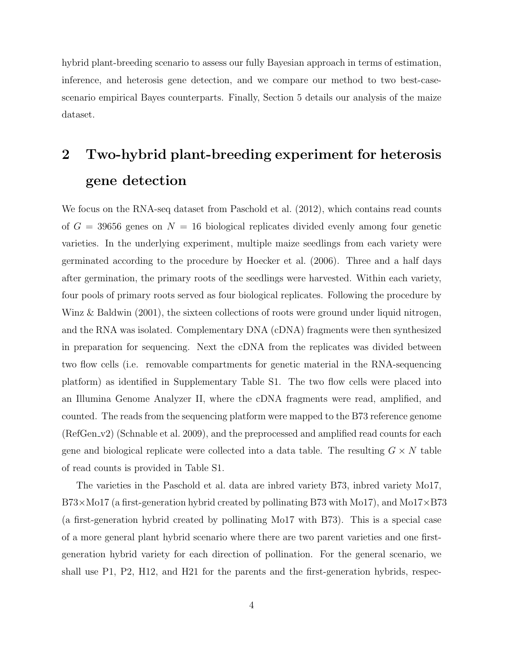hybrid plant-breeding scenario to assess our fully Bayesian approach in terms of estimation, inference, and heterosis gene detection, and we compare our method to two best-casescenario empirical Bayes counterparts. Finally, Section 5 details our analysis of the maize dataset.

# 2 Two-hybrid plant-breeding experiment for heterosis gene detection

We focus on the RNA-seq dataset from Paschold et al.  $(2012)$ , which contains read counts of  $G = 39656$  genes on  $N = 16$  biological replicates divided evenly among four genetic varieties. In the underlying experiment, multiple maize seedlings from each variety were germinated according to the procedure by Hoecker et al. (2006). Three and a half days after germination, the primary roots of the seedlings were harvested. Within each variety, four pools of primary roots served as four biological replicates. Following the procedure by Winz & Baldwin (2001), the sixteen collections of roots were ground under liquid nitrogen, and the RNA was isolated. Complementary DNA (cDNA) fragments were then synthesized in preparation for sequencing. Next the cDNA from the replicates was divided between two flow cells (i.e. removable compartments for genetic material in the RNA-sequencing platform) as identified in Supplementary Table S1. The two flow cells were placed into an Illumina Genome Analyzer II, where the cDNA fragments were read, amplified, and counted. The reads from the sequencing platform were mapped to the B73 reference genome (RefGen v2) (Schnable et al. 2009), and the preprocessed and amplified read counts for each gene and biological replicate were collected into a data table. The resulting  $G \times N$  table of read counts is provided in Table S1.

The varieties in the Paschold et al. data are inbred variety B73, inbred variety Mo17,  $B73\times$ Mo17 (a first-generation hybrid created by pollinating B73 with Mo17), and Mo17 $\times$ B73 (a first-generation hybrid created by pollinating Mo17 with B73). This is a special case of a more general plant hybrid scenario where there are two parent varieties and one firstgeneration hybrid variety for each direction of pollination. For the general scenario, we shall use P1, P2, H12, and H21 for the parents and the first-generation hybrids, respec-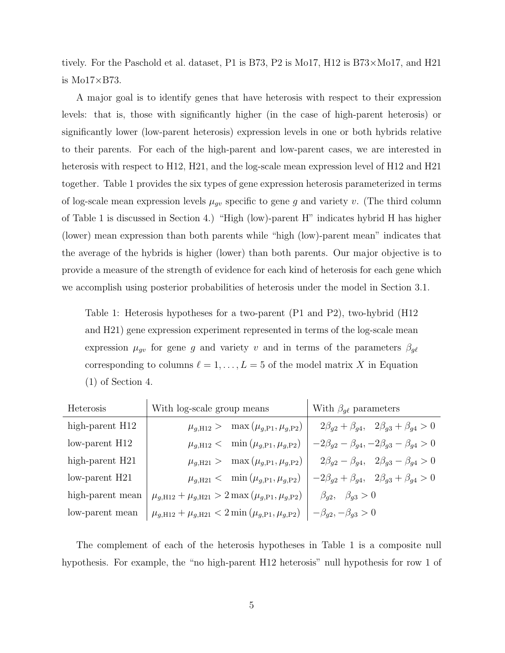tively. For the Paschold et al. dataset, P1 is B73, P2 is Mo17, H12 is B73×Mo17, and H21 is  $Mo17\times B73$ .

A major goal is to identify genes that have heterosis with respect to their expression levels: that is, those with significantly higher (in the case of high-parent heterosis) or significantly lower (low-parent heterosis) expression levels in one or both hybrids relative to their parents. For each of the high-parent and low-parent cases, we are interested in heterosis with respect to H12, H21, and the log-scale mean expression level of H12 and H21 together. Table 1 provides the six types of gene expression heterosis parameterized in terms of log-scale mean expression levels  $\mu_{gv}$  specific to gene g and variety v. (The third column of Table 1 is discussed in Section 4.) "High (low)-parent H" indicates hybrid H has higher (lower) mean expression than both parents while "high (low)-parent mean" indicates that the average of the hybrids is higher (lower) than both parents. Our major objective is to provide a measure of the strength of evidence for each kind of heterosis for each gene which we accomplish using posterior probabilities of heterosis under the model in Section 3.1.

Table 1: Heterosis hypotheses for a two-parent (P1 and P2), two-hybrid (H12 and H21) gene expression experiment represented in terms of the log-scale mean expression  $\mu_{gv}$  for gene g and variety v and in terms of the parameters  $\beta_{gt}$ corresponding to columns  $\ell = 1, \ldots, L = 5$  of the model matrix X in Equation (1) of Section 4.

| <b>Heterosis</b>    | With log-scale group means                                                                             | With $\beta_{q\ell}$ parameters                                 |  |
|---------------------|--------------------------------------------------------------------------------------------------------|-----------------------------------------------------------------|--|
| high-parent H12     | $\mu_{q,H12} > \max(\mu_{q,P1}, \mu_{q,P2})$                                                           | $2\beta_{g2} + \beta_{g4}$ , $2\beta_{g3} + \beta_{g4} > 0$     |  |
| $low$ -parent $H12$ | $\mu_{q,H12} < \min(\mu_{g,P1}, \mu_{g,P2})$                                                           | $-2\beta_{g2}-\beta_{g4}, -2\beta_{g3}-\beta_{g4}>0$            |  |
| high-parent H21     | $\mu_{q,\text{H21}} > \max(\mu_{g,\text{P1}}, \mu_{g,\text{P2}})$                                      | $2\beta_{g2} - \beta_{g4}$ , $2\beta_{g3} - \beta_{g4} > 0$     |  |
| $low$ -parent $H21$ | $\mu_{q,\text{H21}} < \min(\mu_{g,\text{P1}}, \mu_{g,\text{P2}})$                                      | $-2\beta_{g2} + \beta_{g4}, \quad 2\beta_{g3} + \beta_{g4} > 0$ |  |
| high-parent mean    | $\mu_{g,\text{H12}} + \mu_{g,\text{H21}} > 2 \max \left( \mu_{g,\text{P1}}, \mu_{g,\text{P2}} \right)$ | $\beta_{q2}, \beta_{q3} > 0$                                    |  |
| low-parent mean     | $\mu_{g,\text{H12}} + \mu_{g,\text{H21}} < 2 \min \left( \mu_{g,\text{P1}}, \mu_{g,\text{P2}} \right)$ | $-\beta_{g2}, -\beta_{g3} > 0$                                  |  |

The complement of each of the heterosis hypotheses in Table 1 is a composite null hypothesis. For example, the "no high-parent H12 heterosis" null hypothesis for row 1 of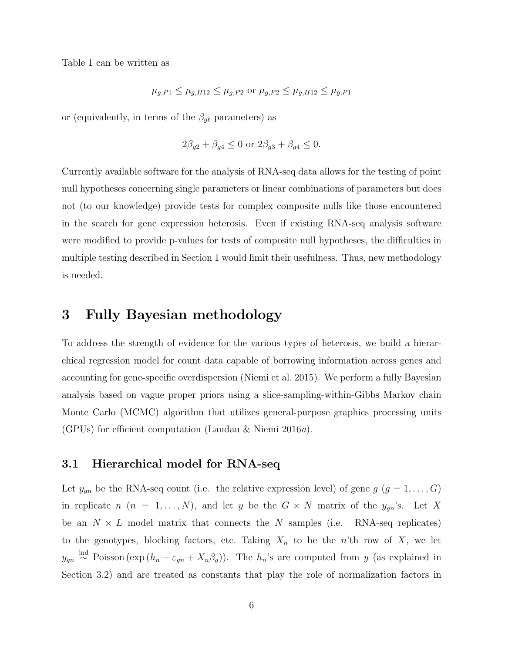Table 1 can be written as

$$
\mu_{g,P1} \leq \mu_{g,H12} \leq \mu_{g,P2}
$$
 or  $\mu_{g,P2} \leq \mu_{g,H12} \leq \mu_{g,P1}$ 

or (equivalently, in terms of the  $\beta_{g\ell}$  parameters) as

$$
2\beta_{g2} + \beta_{g4} \le 0
$$
 or  $2\beta_{g3} + \beta_{g4} \le 0$ .

Currently available software for the analysis of RNA-seq data allows for the testing of point null hypotheses concerning single parameters or linear combinations of parameters but does not (to our knowledge) provide tests for complex composite nulls like those encountered in the search for gene expression heterosis. Even if existing RNA-seq analysis software were modified to provide p-values for tests of composite null hypotheses, the difficulties in multiple testing described in Section 1 would limit their usefulness. Thus, new methodology is needed.

## 3 Fully Bayesian methodology

To address the strength of evidence for the various types of heterosis, we build a hierarchical regression model for count data capable of borrowing information across genes and accounting for gene-specific overdispersion (Niemi et al. 2015). We perform a fully Bayesian analysis based on vague proper priors using a slice-sampling-within-Gibbs Markov chain Monte Carlo (MCMC) algorithm that utilizes general-purpose graphics processing units (GPUs) for efficient computation (Landau & Niemi 2016a).

#### 3.1 Hierarchical model for RNA-seq

Let  $y_{gn}$  be the RNA-seq count (i.e. the relative expression level) of gene  $g$   $(g = 1, ..., G)$ in replicate  $n (n = 1, ..., N)$ , and let y be the  $G \times N$  matrix of the  $y_{gn}$ 's. Let X be an  $N \times L$  model matrix that connects the N samples (i.e. RNA-seq replicates) to the genotypes, blocking factors, etc. Taking  $X_n$  to be the n'th row of X, we let  $y_{gn} \stackrel{\text{ind}}{\sim}$  Poisson (exp  $(h_n + \varepsilon_{gn} + X_n \beta_g)$ ). The  $h_n$ 's are computed from y (as explained in Section 3.2) and are treated as constants that play the role of normalization factors in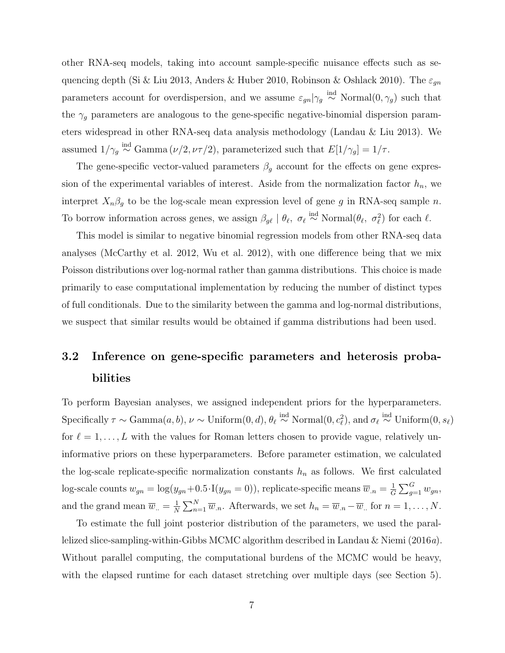other RNA-seq models, taking into account sample-specific nuisance effects such as sequencing depth (Si & Liu 2013, Anders & Huber 2010, Robinson & Oshlack 2010). The  $\varepsilon_{gn}$ parameters account for overdispersion, and we assume  $\varepsilon_{gn}|\gamma_g \overset{\text{ind}}{\sim} \text{Normal}(0, \gamma_g)$  such that the  $\gamma_g$  parameters are analogous to the gene-specific negative-binomial dispersion parameters widespread in other RNA-seq data analysis methodology (Landau & Liu 2013). We assumed  $1/\gamma_g \stackrel{\text{ind}}{\sim} \text{Gamma}(\nu/2, \nu\tau/2)$ , parameterized such that  $E[1/\gamma_g] = 1/\tau$ .

The gene-specific vector-valued parameters  $\beta_g$  account for the effects on gene expression of the experimental variables of interest. Aside from the normalization factor  $h_n$ , we interpret  $X_n\beta_g$  to be the log-scale mean expression level of gene g in RNA-seq sample n. To borrow information across genes, we assign  $\beta_{g\ell} \mid \theta_{\ell}, \ \sigma_{\ell} \stackrel{\text{ind}}{\sim} \text{Normal}(\theta_{\ell}, \ \sigma_{\ell}^2)$  for each  $\ell$ .

This model is similar to negative binomial regression models from other RNA-seq data analyses (McCarthy et al. 2012, Wu et al. 2012), with one difference being that we mix Poisson distributions over log-normal rather than gamma distributions. This choice is made primarily to ease computational implementation by reducing the number of distinct types of full conditionals. Due to the similarity between the gamma and log-normal distributions, we suspect that similar results would be obtained if gamma distributions had been used.

## 3.2 Inference on gene-specific parameters and heterosis probabilities

To perform Bayesian analyses, we assigned independent priors for the hyperparameters. Specifically  $\tau \sim \text{Gamma}(a, b)$ ,  $\nu \sim \text{Uniform}(0, d)$ ,  $\theta_{\ell} \stackrel{\text{ind}}{\sim} \text{Normal}(0, c_{\ell}^2)$ , and  $\sigma_{\ell} \stackrel{\text{ind}}{\sim} \text{Uniform}(0, s_{\ell})$ for  $\ell = 1, \ldots, L$  with the values for Roman letters chosen to provide vague, relatively uninformative priors on these hyperparameters. Before parameter estimation, we calculated the log-scale replicate-specific normalization constants  $h_n$  as follows. We first calculated log-scale counts  $w_{gn} = \log(y_{gn} + 0.5 \cdot I(y_{gn} = 0))$ , replicate-specific means  $\overline{w}_{gn} = \frac{1}{G}$  $\frac{1}{G}\sum_{g=1}^G w_{gn},$ and the grand mean  $\overline{w}_{n} = \frac{1}{N}$  $\frac{1}{N} \sum_{n=1}^{N} \overline{w}_n$ . Afterwards, we set  $h_n = \overline{w}_n - \overline{w}_n$  for  $n = 1, ..., N$ .

To estimate the full joint posterior distribution of the parameters, we used the parallelized slice-sampling-within-Gibbs MCMC algorithm described in Landau & Niemi (2016a). Without parallel computing, the computational burdens of the MCMC would be heavy, with the elapsed runtime for each dataset stretching over multiple days (see Section 5).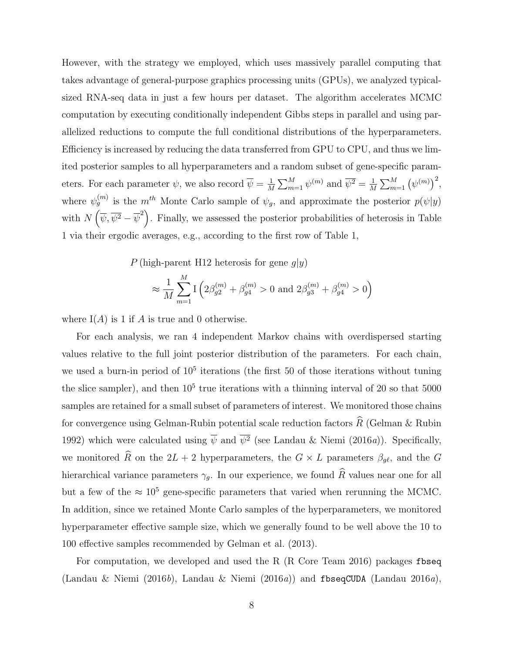However, with the strategy we employed, which uses massively parallel computing that takes advantage of general-purpose graphics processing units (GPUs), we analyzed typicalsized RNA-seq data in just a few hours per dataset. The algorithm accelerates MCMC computation by executing conditionally independent Gibbs steps in parallel and using parallelized reductions to compute the full conditional distributions of the hyperparameters. Efficiency is increased by reducing the data transferred from GPU to CPU, and thus we limited posterior samples to all hyperparameters and a random subset of gene-specific parameters. For each parameter  $\psi$ , we also record  $\overline{\psi} = \frac{1}{\overline{M}}$  $\frac{1}{M} \sum_{m=1}^{M} \psi^{(m)}$  and  $\overline{\psi^2} = \frac{1}{M}$  $\frac{1}{M}\sum_{m=1}^M (\psi^{(m)})^2,$ where  $\psi_g^{(m)}$  is the  $m^{th}$  Monte Carlo sample of  $\psi_g$ , and approximate the posterior  $p(\psi|y)$ with  $N(\bar{\psi}, \bar{\psi}^2 - \bar{\psi}^2)$ . Finally, we assessed the posterior probabilities of heterosis in Table 1 via their ergodic averages, e.g., according to the first row of Table 1,

P (high-parent H12 heterosis for gene  $q|y|$ )

$$
\approx \frac{1}{M}\sum_{m=1}^{M}\mathbf{I}\left(2\beta_{g2}^{(m)} + \beta_{g4}^{(m)} > 0 \text{ and } 2\beta_{g3}^{(m)} + \beta_{g4}^{(m)} > 0\right)
$$

where  $I(A)$  is 1 if A is true and 0 otherwise.

For each analysis, we ran 4 independent Markov chains with overdispersed starting values relative to the full joint posterior distribution of the parameters. For each chain, we used a burn-in period of  $10<sup>5</sup>$  iterations (the first 50 of those iterations without tuning the slice sampler), and then  $10<sup>5</sup>$  true iterations with a thinning interval of 20 so that 5000 samples are retained for a small subset of parameters of interest. We monitored those chains for convergence using Gelman-Rubin potential scale reduction factors  $\widehat{R}$  (Gelman & Rubin 1992) which were calculated using  $\overline{\psi}$  and  $\psi^2$  (see Landau & Niemi (2016a)). Specifically, we monitored  $\widehat{R}$  on the  $2L + 2$  hyperparameters, the  $G \times L$  parameters  $\beta_{g\ell}$ , and the G hierarchical variance parameters  $\gamma_g$ . In our experience, we found  $\widehat{R}$  values near one for all but a few of the  $\approx 10^5$  gene-specific parameters that varied when rerunning the MCMC. In addition, since we retained Monte Carlo samples of the hyperparameters, we monitored hyperparameter effective sample size, which we generally found to be well above the 10 to 100 effective samples recommended by Gelman et al. (2013).

For computation, we developed and used the R (R Core Team 2016) packages fbseq (Landau & Niemi (2016b), Landau & Niemi (2016a)) and fbseqCUDA (Landau 2016a),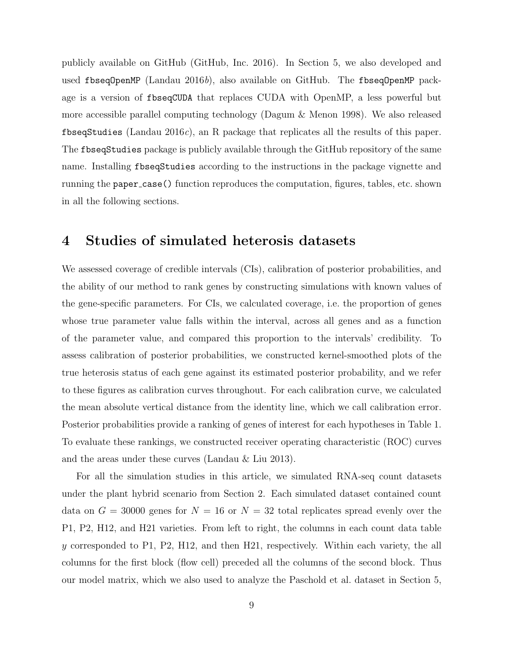publicly available on GitHub (GitHub, Inc. 2016). In Section 5, we also developed and used fbseq0penMP (Landau 2016b), also available on GitHub. The fbseq0penMP package is a version of fbseqCUDA that replaces CUDA with OpenMP, a less powerful but more accessible parallel computing technology (Dagum & Menon 1998). We also released fbseqStudies (Landau 2016c), an R package that replicates all the results of this paper. The fbseqStudies package is publicly available through the GitHub repository of the same name. Installing fbseqStudies according to the instructions in the package vignette and running the paper case() function reproduces the computation, figures, tables, etc. shown in all the following sections.

## 4 Studies of simulated heterosis datasets

We assessed coverage of credible intervals (CIs), calibration of posterior probabilities, and the ability of our method to rank genes by constructing simulations with known values of the gene-specific parameters. For CIs, we calculated coverage, i.e. the proportion of genes whose true parameter value falls within the interval, across all genes and as a function of the parameter value, and compared this proportion to the intervals' credibility. To assess calibration of posterior probabilities, we constructed kernel-smoothed plots of the true heterosis status of each gene against its estimated posterior probability, and we refer to these figures as calibration curves throughout. For each calibration curve, we calculated the mean absolute vertical distance from the identity line, which we call calibration error. Posterior probabilities provide a ranking of genes of interest for each hypotheses in Table 1. To evaluate these rankings, we constructed receiver operating characteristic (ROC) curves and the areas under these curves (Landau & Liu 2013).

For all the simulation studies in this article, we simulated RNA-seq count datasets under the plant hybrid scenario from Section 2. Each simulated dataset contained count data on  $G = 30000$  genes for  $N = 16$  or  $N = 32$  total replicates spread evenly over the P1, P2, H12, and H21 varieties. From left to right, the columns in each count data table y corresponded to P1, P2, H12, and then H21, respectively. Within each variety, the all columns for the first block (flow cell) preceded all the columns of the second block. Thus our model matrix, which we also used to analyze the Paschold et al. dataset in Section 5,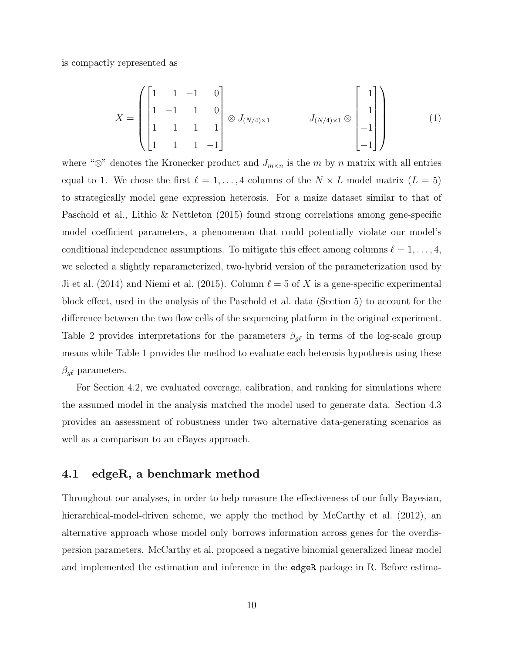is compactly represented as

$$
X = \begin{pmatrix} 1 & 1 & -1 & 0 \\ 1 & -1 & 1 & 0 \\ 1 & 1 & 1 & 1 \\ 1 & 1 & 1 & -1 \end{pmatrix} \otimes J_{(N/4) \times 1} \qquad J_{(N/4) \times 1} \otimes \begin{bmatrix} 1 \\ 1 \\ -1 \\ -1 \end{bmatrix} \qquad (1)
$$

where " $\otimes$ " denotes the Kronecker product and  $J_{m \times n}$  is the m by n matrix with all entries equal to 1. We chose the first  $\ell = 1, ..., 4$  columns of the  $N \times L$  model matrix  $(L = 5)$ to strategically model gene expression heterosis. For a maize dataset similar to that of Paschold et al., Lithio & Nettleton (2015) found strong correlations among gene-specific model coefficient parameters, a phenomenon that could potentially violate our model's conditional independence assumptions. To mitigate this effect among columns  $\ell = 1, \ldots, 4$ , we selected a slightly reparameterized, two-hybrid version of the parameterization used by Ji et al. (2014) and Niemi et al. (2015). Column  $\ell = 5$  of X is a gene-specific experimental block effect, used in the analysis of the Paschold et al. data (Section 5) to account for the difference between the two flow cells of the sequencing platform in the original experiment. Table 2 provides interpretations for the parameters  $\beta_{g\ell}$  in terms of the log-scale group means while Table 1 provides the method to evaluate each heterosis hypothesis using these  $\beta_{g\ell}$  parameters.

For Section 4.2, we evaluated coverage, calibration, and ranking for simulations where the assumed model in the analysis matched the model used to generate data. Section 4.3 provides an assessment of robustness under two alternative data-generating scenarios as well as a comparison to an eBayes approach.

#### 4.1 edgeR, a benchmark method

Throughout our analyses, in order to help measure the effectiveness of our fully Bayesian, hierarchical-model-driven scheme, we apply the method by McCarthy et al. (2012), an alternative approach whose model only borrows information across genes for the overdispersion parameters. McCarthy et al. proposed a negative binomial generalized linear model and implemented the estimation and inference in the edgeR package in R. Before estima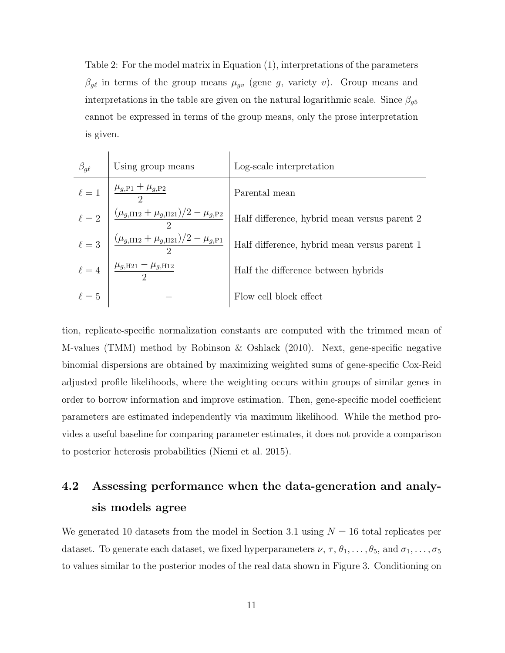Table 2: For the model matrix in Equation (1), interpretations of the parameters  $\beta_{g\ell}$  in terms of the group means  $\mu_{gv}$  (gene g, variety v). Group means and interpretations in the table are given on the natural logarithmic scale. Since  $\beta_{g5}$ cannot be expressed in terms of the group means, only the prose interpretation is given.

| $\beta_{g\ell}$ | Using group means                                                           | Log-scale interpretation                     |
|-----------------|-----------------------------------------------------------------------------|----------------------------------------------|
| $\ell=1$        | $\frac{\mu_{g,\rm P1} + \mu_{g,\rm P2}}{2}$                                 | Parental mean                                |
| $\ell = 2$      | $\frac{(\mu_{g,\text{H12}} + \mu_{g,\text{H21}})/2 - \mu_{g,\text{P2}}}{2}$ | Half difference, hybrid mean versus parent 2 |
| $\ell=3$        | $(\mu_{g,\text{H12}} + \mu_{g,\text{H21}})/2 - \mu_{g,\text{P1}}$           | Half difference, hybrid mean versus parent 1 |
| $\ell=4$        | $\frac{\mu_{g,H21} - \mu_{g,H12}}{2}$                                       | Half the difference between hybrids          |
| $\ell=5$        |                                                                             | Flow cell block effect                       |

tion, replicate-specific normalization constants are computed with the trimmed mean of M-values (TMM) method by Robinson & Oshlack (2010). Next, gene-specific negative binomial dispersions are obtained by maximizing weighted sums of gene-specific Cox-Reid adjusted profile likelihoods, where the weighting occurs within groups of similar genes in order to borrow information and improve estimation. Then, gene-specific model coefficient parameters are estimated independently via maximum likelihood. While the method provides a useful baseline for comparing parameter estimates, it does not provide a comparison to posterior heterosis probabilities (Niemi et al. 2015).

## 4.2 Assessing performance when the data-generation and analysis models agree

We generated 10 datasets from the model in Section 3.1 using  $N = 16$  total replicates per dataset. To generate each dataset, we fixed hyperparameters  $\nu, \tau, \theta_1, \ldots, \theta_5$ , and  $\sigma_1, \ldots, \sigma_5$ to values similar to the posterior modes of the real data shown in Figure 3. Conditioning on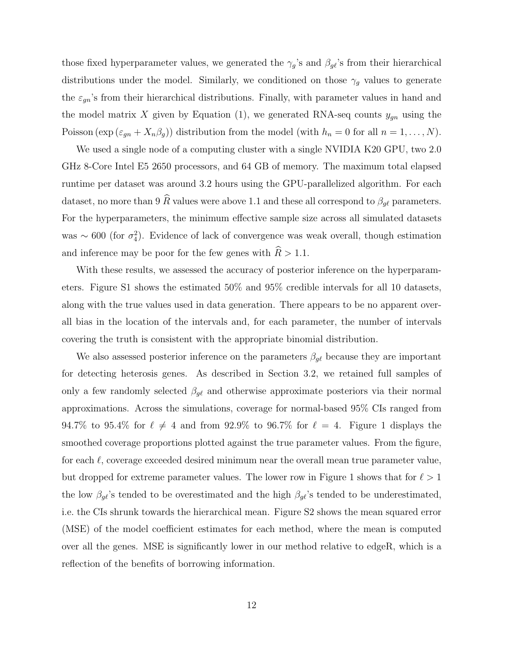those fixed hyperparameter values, we generated the  $\gamma_g$ 's and  $\beta_{g\ell}$ 's from their hierarchical distributions under the model. Similarly, we conditioned on those  $\gamma_g$  values to generate the  $\varepsilon_{gn}$ 's from their hierarchical distributions. Finally, with parameter values in hand and the model matrix X given by Equation (1), we generated RNA-seq counts  $y_{gn}$  using the Poisson  $(\exp(\varepsilon_{gn} + X_n \beta_g))$  distribution from the model (with  $h_n = 0$  for all  $n = 1, ..., N$ ).

We used a single node of a computing cluster with a single NVIDIA K20 GPU, two 2.0 GHz 8-Core Intel E5 2650 processors, and 64 GB of memory. The maximum total elapsed runtime per dataset was around 3.2 hours using the GPU-parallelized algorithm. For each dataset, no more than 9  $\widehat{R}$  values were above 1.1 and these all correspond to  $\beta_{g\ell}$  parameters. For the hyperparameters, the minimum effective sample size across all simulated datasets was ~ 600 (for  $\sigma_4^2$ ). Evidence of lack of convergence was weak overall, though estimation and inference may be poor for the few genes with  $\widehat{R} > 1.1$ .

With these results, we assessed the accuracy of posterior inference on the hyperparameters. Figure S1 shows the estimated 50% and 95% credible intervals for all 10 datasets, along with the true values used in data generation. There appears to be no apparent overall bias in the location of the intervals and, for each parameter, the number of intervals covering the truth is consistent with the appropriate binomial distribution.

We also assessed posterior inference on the parameters  $\beta_{g\ell}$  because they are important for detecting heterosis genes. As described in Section 3.2, we retained full samples of only a few randomly selected  $\beta_{g\ell}$  and otherwise approximate posteriors via their normal approximations. Across the simulations, coverage for normal-based 95% CIs ranged from 94.7% to 95.4% for  $\ell \neq 4$  and from 92.9% to 96.7% for  $\ell = 4$ . Figure 1 displays the smoothed coverage proportions plotted against the true parameter values. From the figure, for each  $\ell$ , coverage exceeded desired minimum near the overall mean true parameter value, but dropped for extreme parameter values. The lower row in Figure 1 shows that for  $\ell > 1$ the low  $\beta_{g\ell}$ 's tended to be overestimated and the high  $\beta_{g\ell}$ 's tended to be underestimated, i.e. the CIs shrunk towards the hierarchical mean. Figure S2 shows the mean squared error (MSE) of the model coefficient estimates for each method, where the mean is computed over all the genes. MSE is significantly lower in our method relative to edgeR, which is a reflection of the benefits of borrowing information.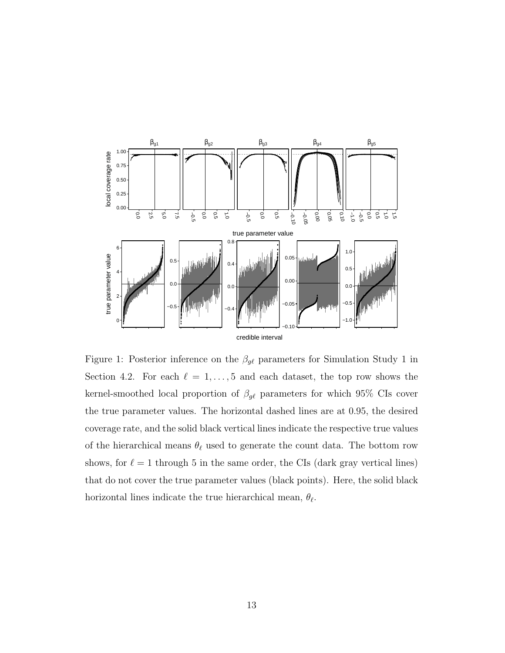

Figure 1: Posterior inference on the  $\beta_{g\ell}$  parameters for Simulation Study 1 in Section 4.2. For each  $\ell = 1, \ldots, 5$  and each dataset, the top row shows the kernel-smoothed local proportion of  $\beta_{g\ell}$  parameters for which 95% CIs cover the true parameter values. The horizontal dashed lines are at 0.95, the desired coverage rate, and the solid black vertical lines indicate the respective true values of the hierarchical means  $\theta_\ell$  used to generate the count data. The bottom row shows, for  $\ell = 1$  through 5 in the same order, the CIs (dark gray vertical lines) that do not cover the true parameter values (black points). Here, the solid black horizontal lines indicate the true hierarchical mean,  $\theta_{\ell}$ .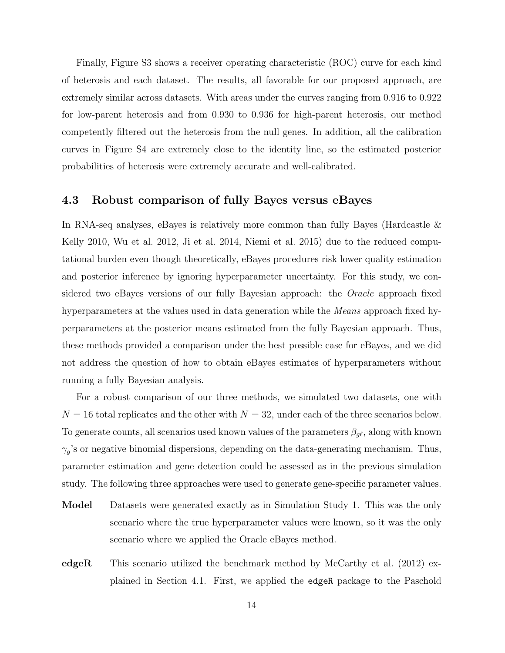Finally, Figure S3 shows a receiver operating characteristic (ROC) curve for each kind of heterosis and each dataset. The results, all favorable for our proposed approach, are extremely similar across datasets. With areas under the curves ranging from 0.916 to 0.922 for low-parent heterosis and from 0.930 to 0.936 for high-parent heterosis, our method competently filtered out the heterosis from the null genes. In addition, all the calibration curves in Figure S4 are extremely close to the identity line, so the estimated posterior probabilities of heterosis were extremely accurate and well-calibrated.

#### 4.3 Robust comparison of fully Bayes versus eBayes

In RNA-seq analyses, eBayes is relatively more common than fully Bayes (Hardcastle  $\&$ Kelly 2010, Wu et al. 2012, Ji et al. 2014, Niemi et al. 2015) due to the reduced computational burden even though theoretically, eBayes procedures risk lower quality estimation and posterior inference by ignoring hyperparameter uncertainty. For this study, we considered two eBayes versions of our fully Bayesian approach: the *Oracle* approach fixed hyperparameters at the values used in data generation while the *Means* approach fixed hyperparameters at the posterior means estimated from the fully Bayesian approach. Thus, these methods provided a comparison under the best possible case for eBayes, and we did not address the question of how to obtain eBayes estimates of hyperparameters without running a fully Bayesian analysis.

For a robust comparison of our three methods, we simulated two datasets, one with  $N = 16$  total replicates and the other with  $N = 32$ , under each of the three scenarios below. To generate counts, all scenarios used known values of the parameters  $\beta_{g\ell}$ , along with known  $\gamma_g$ 's or negative binomial dispersions, depending on the data-generating mechanism. Thus, parameter estimation and gene detection could be assessed as in the previous simulation study. The following three approaches were used to generate gene-specific parameter values.

- Model Datasets were generated exactly as in Simulation Study 1. This was the only scenario where the true hyperparameter values were known, so it was the only scenario where we applied the Oracle eBayes method.
- edgeR This scenario utilized the benchmark method by McCarthy et al.  $(2012)$  explained in Section 4.1. First, we applied the edgeR package to the Paschold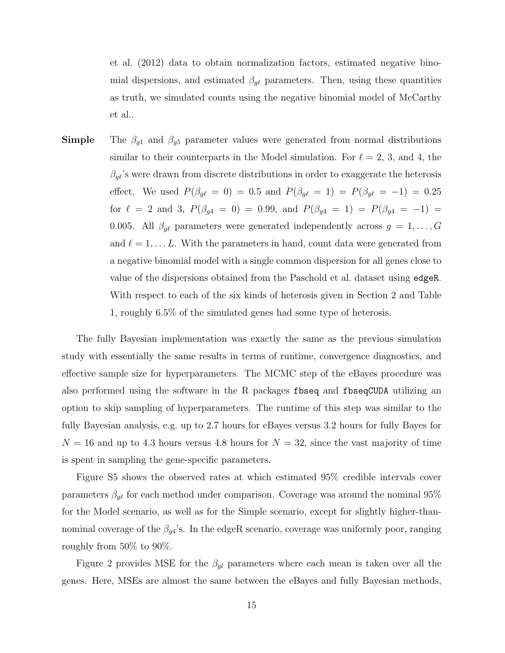et al. (2012) data to obtain normalization factors, estimated negative binomial dispersions, and estimated  $\beta_{g\ell}$  parameters. Then, using these quantities as truth, we simulated counts using the negative binomial model of McCarthy et al..

**Simple** The  $\beta_{g1}$  and  $\beta_{g5}$  parameter values were generated from normal distributions similar to their counterparts in the Model simulation. For  $\ell = 2, 3$ , and 4, the  $\beta_{g\ell}$ 's were drawn from discrete distributions in order to exaggerate the heterosis effect. We used  $P(\beta_{g\ell} = 0) = 0.5$  and  $P(\beta_{g\ell} = 1) = P(\beta_{g\ell} = -1) = 0.25$ for  $\ell = 2$  and 3,  $P(\beta_{g4} = 0) = 0.99$ , and  $P(\beta_{g4} = 1) = P(\beta_{g4} = -1) =$ 0.005. All  $\beta_{g\ell}$  parameters were generated independently across  $g = 1, \ldots, G$ and  $\ell = 1, \ldots L$ . With the parameters in hand, count data were generated from a negative binomial model with a single common dispersion for all genes close to value of the dispersions obtained from the Paschold et al. dataset using edgeR. With respect to each of the six kinds of heterosis given in Section 2 and Table 1, roughly 6.5% of the simulated genes had some type of heterosis.

The fully Bayesian implementation was exactly the same as the previous simulation study with essentially the same results in terms of runtime, convergence diagnostics, and effective sample size for hyperparameters. The MCMC step of the eBayes procedure was also performed using the software in the R packages fbseq and fbseqCUDA utilizing an option to skip sampling of hyperparameters. The runtime of this step was similar to the fully Bayesian analysis, e.g. up to 2.7 hours for eBayes versus 3.2 hours for fully Bayes for  $N = 16$  and up to 4.3 hours versus 4.8 hours for  $N = 32$ , since the vast majority of time is spent in sampling the gene-specific parameters.

Figure S5 shows the observed rates at which estimated 95% credible intervals cover parameters  $\beta_{g\ell}$  for each method under comparison. Coverage was around the nominal 95% for the Model scenario, as well as for the Simple scenario, except for slightly higher-thannominal coverage of the  $\beta_{g4}$ 's. In the edgeR scenario, coverage was uniformly poor, ranging roughly from 50% to 90%.

Figure 2 provides MSE for the  $\beta_{gl}$  parameters where each mean is taken over all the genes. Here, MSEs are almost the same between the eBayes and fully Bayesian methods,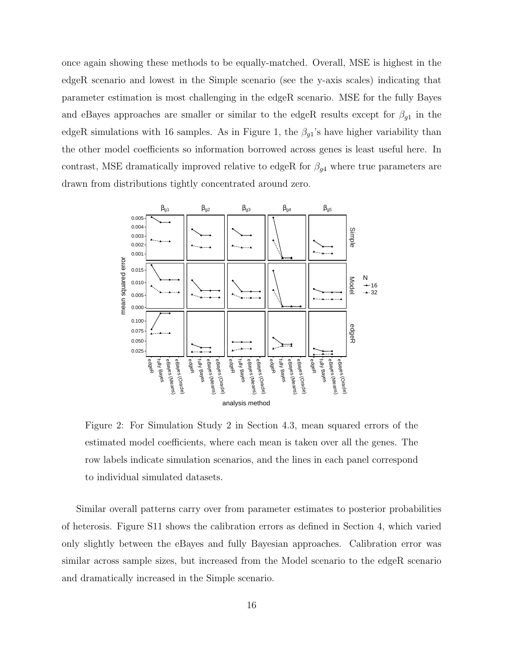once again showing these methods to be equally-matched. Overall, MSE is highest in the edgeR scenario and lowest in the Simple scenario (see the y-axis scales) indicating that parameter estimation is most challenging in the edgeR scenario. MSE for the fully Bayes and eBayes approaches are smaller or similar to the edgeR results except for  $\beta_{g1}$  in the edgeR simulations with 16 samples. As in Figure 1, the  $\beta_{g1}$ 's have higher variability than the other model coefficients so information borrowed across genes is least useful here. In contrast, MSE dramatically improved relative to edgeR for  $\beta_{g4}$  where true parameters are drawn from distributions tightly concentrated around zero.



Figure 2: For Simulation Study 2 in Section 4.3, mean squared errors of the estimated model coefficients, where each mean is taken over all the genes. The row labels indicate simulation scenarios, and the lines in each panel correspond to individual simulated datasets.

Similar overall patterns carry over from parameter estimates to posterior probabilities of heterosis. Figure S11 shows the calibration errors as defined in Section 4, which varied only slightly between the eBayes and fully Bayesian approaches. Calibration error was similar across sample sizes, but increased from the Model scenario to the edgeR scenario and dramatically increased in the Simple scenario.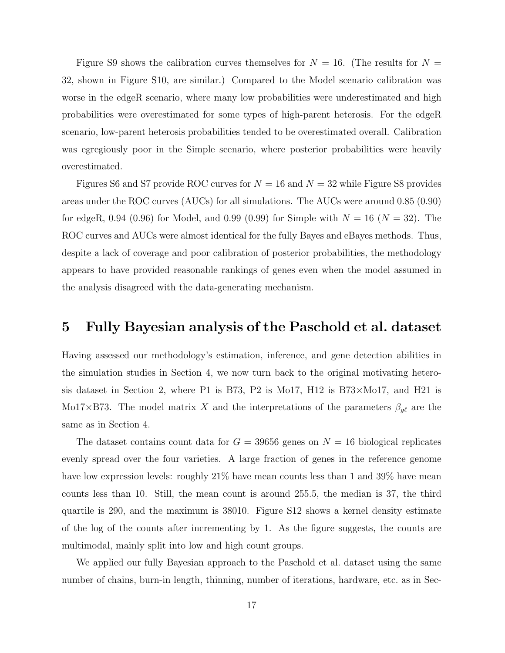Figure S9 shows the calibration curves themselves for  $N = 16$ . (The results for  $N =$ 32, shown in Figure S10, are similar.) Compared to the Model scenario calibration was worse in the edgeR scenario, where many low probabilities were underestimated and high probabilities were overestimated for some types of high-parent heterosis. For the edgeR scenario, low-parent heterosis probabilities tended to be overestimated overall. Calibration was egregiously poor in the Simple scenario, where posterior probabilities were heavily overestimated.

Figures S6 and S7 provide ROC curves for  $N = 16$  and  $N = 32$  while Figure S8 provides areas under the ROC curves (AUCs) for all simulations. The AUCs were around 0.85 (0.90) for edgeR, 0.94 (0.96) for Model, and 0.99 (0.99) for Simple with  $N = 16$  ( $N = 32$ ). The ROC curves and AUCs were almost identical for the fully Bayes and eBayes methods. Thus, despite a lack of coverage and poor calibration of posterior probabilities, the methodology appears to have provided reasonable rankings of genes even when the model assumed in the analysis disagreed with the data-generating mechanism.

## 5 Fully Bayesian analysis of the Paschold et al. dataset

Having assessed our methodology's estimation, inference, and gene detection abilities in the simulation studies in Section 4, we now turn back to the original motivating heterosis dataset in Section 2, where P1 is B73, P2 is Mo17, H12 is B73×Mo17, and H21 is Mo17×B73. The model matrix X and the interpretations of the parameters  $\beta_{g\ell}$  are the same as in Section 4.

The dataset contains count data for  $G = 39656$  genes on  $N = 16$  biological replicates evenly spread over the four varieties. A large fraction of genes in the reference genome have low expression levels: roughly  $21\%$  have mean counts less than 1 and 39% have mean counts less than 10. Still, the mean count is around 255.5, the median is 37, the third quartile is 290, and the maximum is 38010. Figure S12 shows a kernel density estimate of the log of the counts after incrementing by 1. As the figure suggests, the counts are multimodal, mainly split into low and high count groups.

We applied our fully Bayesian approach to the Paschold et al. dataset using the same number of chains, burn-in length, thinning, number of iterations, hardware, etc. as in Sec-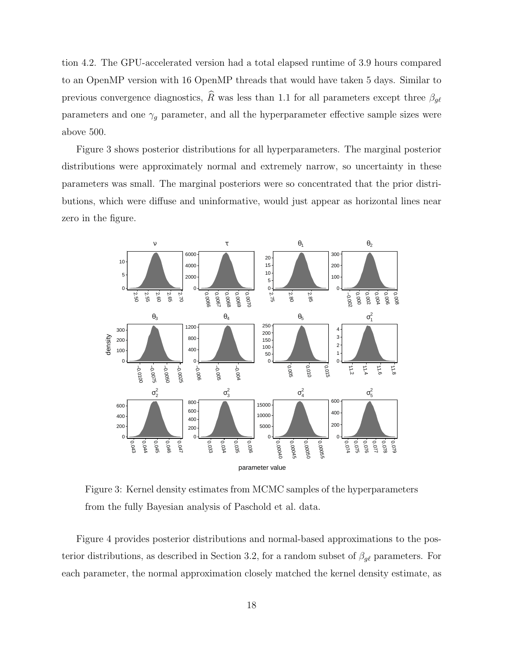tion 4.2. The GPU-accelerated version had a total elapsed runtime of 3.9 hours compared to an OpenMP version with 16 OpenMP threads that would have taken 5 days. Similar to previous convergence diagnostics,  $\widehat{R}$  was less than 1.1 for all parameters except three  $\beta_{g\ell}$ parameters and one  $\gamma_g$  parameter, and all the hyperparameter effective sample sizes were above 500.

Figure 3 shows posterior distributions for all hyperparameters. The marginal posterior distributions were approximately normal and extremely narrow, so uncertainty in these parameters was small. The marginal posteriors were so concentrated that the prior distributions, which were diffuse and uninformative, would just appear as horizontal lines near zero in the figure.



Figure 3: Kernel density estimates from MCMC samples of the hyperparameters from the fully Bayesian analysis of Paschold et al. data.

Figure 4 provides posterior distributions and normal-based approximations to the posterior distributions, as described in Section 3.2, for a random subset of  $\beta_{g\ell}$  parameters. For each parameter, the normal approximation closely matched the kernel density estimate, as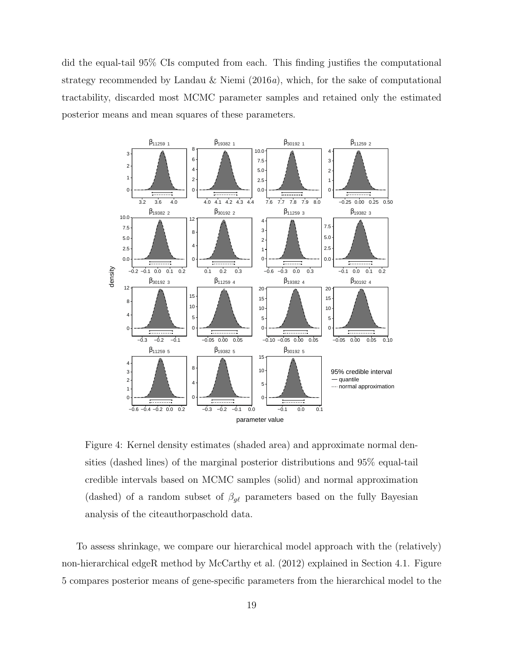did the equal-tail 95% CIs computed from each. This finding justifies the computational strategy recommended by Landau & Niemi (2016a), which, for the sake of computational tractability, discarded most MCMC parameter samples and retained only the estimated posterior means and mean squares of these parameters.



Figure 4: Kernel density estimates (shaded area) and approximate normal densities (dashed lines) of the marginal posterior distributions and 95% equal-tail credible intervals based on MCMC samples (solid) and normal approximation (dashed) of a random subset of  $\beta_{g\ell}$  parameters based on the fully Bayesian analysis of the citeauthorpaschold data.

To assess shrinkage, we compare our hierarchical model approach with the (relatively) non-hierarchical edgeR method by McCarthy et al. (2012) explained in Section 4.1. Figure 5 compares posterior means of gene-specific parameters from the hierarchical model to the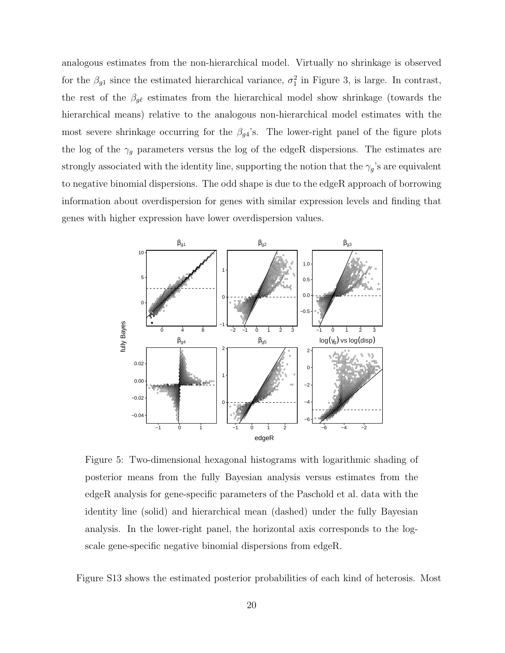analogous estimates from the non-hierarchical model. Virtually no shrinkage is observed for the  $\beta_{g1}$  since the estimated hierarchical variance,  $\sigma_1^2$  in Figure 3, is large. In contrast, the rest of the  $\beta_{g\ell}$  estimates from the hierarchical model show shrinkage (towards the hierarchical means) relative to the analogous non-hierarchical model estimates with the most severe shrinkage occurring for the  $\beta_{g4}$ 's. The lower-right panel of the figure plots the log of the  $\gamma_g$  parameters versus the log of the edgeR dispersions. The estimates are strongly associated with the identity line, supporting the notion that the  $\gamma_g$ 's are equivalent to negative binomial dispersions. The odd shape is due to the edgeR approach of borrowing information about overdispersion for genes with similar expression levels and finding that genes with higher expression have lower overdispersion values.



Figure 5: Two-dimensional hexagonal histograms with logarithmic shading of posterior means from the fully Bayesian analysis versus estimates from the edgeR analysis for gene-specific parameters of the Paschold et al. data with the identity line (solid) and hierarchical mean (dashed) under the fully Bayesian analysis. In the lower-right panel, the horizontal axis corresponds to the logscale gene-specific negative binomial dispersions from edgeR.

Figure S13 shows the estimated posterior probabilities of each kind of heterosis. Most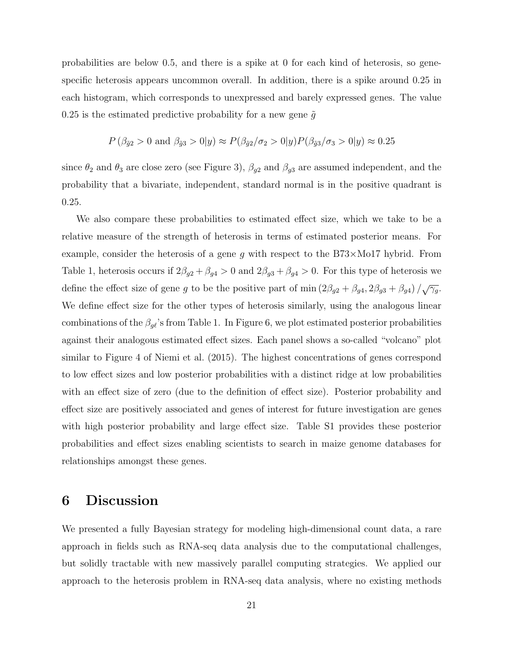probabilities are below 0.5, and there is a spike at 0 for each kind of heterosis, so genespecific heterosis appears uncommon overall. In addition, there is a spike around 0.25 in each histogram, which corresponds to unexpressed and barely expressed genes. The value 0.25 is the estimated predictive probability for a new gene  $\tilde{g}$ 

$$
P(\beta_{\tilde{g}2} > 0 \text{ and } \beta_{\tilde{g}3} > 0|y) \approx P(\beta_{\tilde{g}2}/\sigma_2 > 0|y)P(\beta_{\tilde{g}3}/\sigma_3 > 0|y) \approx 0.25
$$

since  $\theta_2$  and  $\theta_3$  are close zero (see Figure 3),  $\beta_{g2}$  and  $\beta_{g3}$  are assumed independent, and the probability that a bivariate, independent, standard normal is in the positive quadrant is 0.25.

We also compare these probabilities to estimated effect size, which we take to be a relative measure of the strength of heterosis in terms of estimated posterior means. For example, consider the heterosis of a gene g with respect to the  $B73\times1017$  hybrid. From Table 1, heterosis occurs if  $2\beta_{g2} + \beta_{g4} > 0$  and  $2\beta_{g3} + \beta_{g4} > 0$ . For this type of heterosis we define the effect size of gene g to be the positive part of min  $(2\beta_{g2} + \beta_{g4}, 2\beta_{g3} + \beta_{g4})/\sqrt{\gamma_g}$ . We define effect size for the other types of heterosis similarly, using the analogous linear combinations of the  $\beta_{g\ell}$ 's from Table 1. In Figure 6, we plot estimated posterior probabilities against their analogous estimated effect sizes. Each panel shows a so-called "volcano" plot similar to Figure 4 of Niemi et al. (2015). The highest concentrations of genes correspond to low effect sizes and low posterior probabilities with a distinct ridge at low probabilities with an effect size of zero (due to the definition of effect size). Posterior probability and effect size are positively associated and genes of interest for future investigation are genes with high posterior probability and large effect size. Table S1 provides these posterior probabilities and effect sizes enabling scientists to search in maize genome databases for relationships amongst these genes.

### 6 Discussion

We presented a fully Bayesian strategy for modeling high-dimensional count data, a rare approach in fields such as RNA-seq data analysis due to the computational challenges, but solidly tractable with new massively parallel computing strategies. We applied our approach to the heterosis problem in RNA-seq data analysis, where no existing methods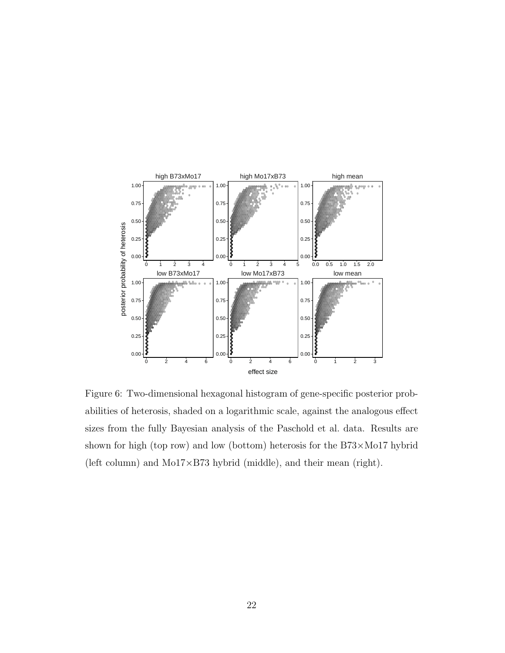

Figure 6: Two-dimensional hexagonal histogram of gene-specific posterior probabilities of heterosis, shaded on a logarithmic scale, against the analogous effect sizes from the fully Bayesian analysis of the Paschold et al. data. Results are shown for high (top row) and low (bottom) heterosis for the B73×Mo17 hybrid (left column) and Mo17×B73 hybrid (middle), and their mean (right).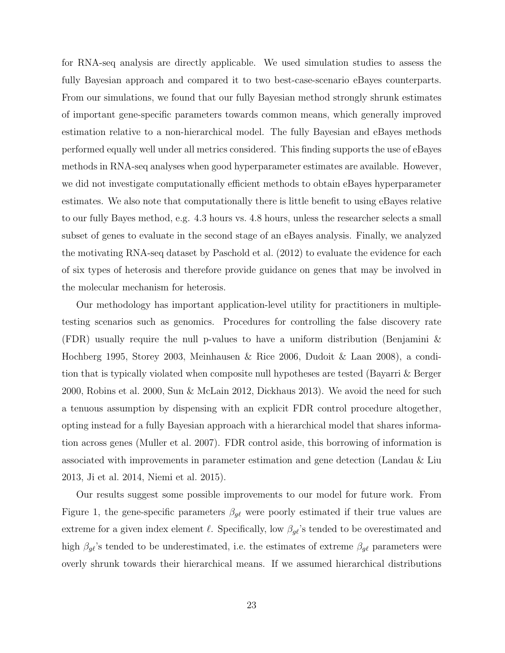for RNA-seq analysis are directly applicable. We used simulation studies to assess the fully Bayesian approach and compared it to two best-case-scenario eBayes counterparts. From our simulations, we found that our fully Bayesian method strongly shrunk estimates of important gene-specific parameters towards common means, which generally improved estimation relative to a non-hierarchical model. The fully Bayesian and eBayes methods performed equally well under all metrics considered. This finding supports the use of eBayes methods in RNA-seq analyses when good hyperparameter estimates are available. However, we did not investigate computationally efficient methods to obtain eBayes hyperparameter estimates. We also note that computationally there is little benefit to using eBayes relative to our fully Bayes method, e.g. 4.3 hours vs. 4.8 hours, unless the researcher selects a small subset of genes to evaluate in the second stage of an eBayes analysis. Finally, we analyzed the motivating RNA-seq dataset by Paschold et al. (2012) to evaluate the evidence for each of six types of heterosis and therefore provide guidance on genes that may be involved in the molecular mechanism for heterosis.

Our methodology has important application-level utility for practitioners in multipletesting scenarios such as genomics. Procedures for controlling the false discovery rate (FDR) usually require the null p-values to have a uniform distribution (Benjamini & Hochberg 1995, Storey 2003, Meinhausen & Rice 2006, Dudoit & Laan 2008), a condition that is typically violated when composite null hypotheses are tested (Bayarri & Berger 2000, Robins et al. 2000, Sun & McLain 2012, Dickhaus 2013). We avoid the need for such a tenuous assumption by dispensing with an explicit FDR control procedure altogether, opting instead for a fully Bayesian approach with a hierarchical model that shares information across genes (Muller et al. 2007). FDR control aside, this borrowing of information is associated with improvements in parameter estimation and gene detection (Landau & Liu 2013, Ji et al. 2014, Niemi et al. 2015).

Our results suggest some possible improvements to our model for future work. From Figure 1, the gene-specific parameters  $\beta_{g\ell}$  were poorly estimated if their true values are extreme for a given index element  $\ell$ . Specifically, low  $\beta_{g\ell}$ 's tended to be overestimated and high  $\beta_{g\ell}$ 's tended to be underestimated, i.e. the estimates of extreme  $\beta_{g\ell}$  parameters were overly shrunk towards their hierarchical means. If we assumed hierarchical distributions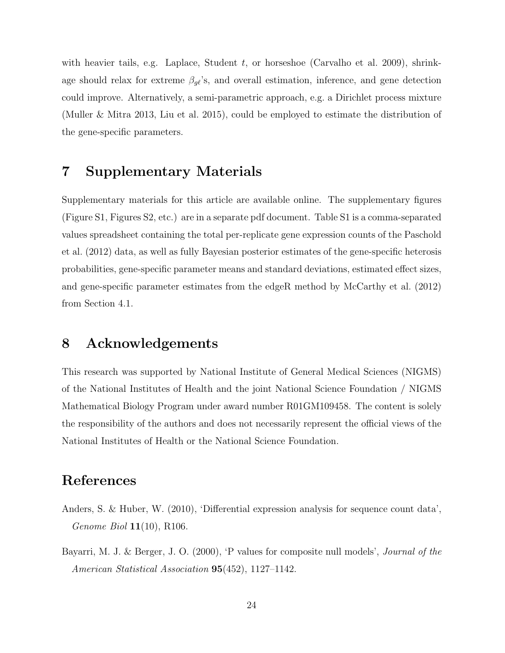with heavier tails, e.g. Laplace, Student  $t$ , or horseshoe (Carvalho et al. 2009), shrinkage should relax for extreme  $\beta_{g\ell}$ 's, and overall estimation, inference, and gene detection could improve. Alternatively, a semi-parametric approach, e.g. a Dirichlet process mixture (Muller & Mitra 2013, Liu et al. 2015), could be employed to estimate the distribution of the gene-specific parameters.

## 7 Supplementary Materials

Supplementary materials for this article are available online. The supplementary figures (Figure S1, Figures S2, etc.) are in a separate pdf document. Table S1 is a comma-separated values spreadsheet containing the total per-replicate gene expression counts of the Paschold et al. (2012) data, as well as fully Bayesian posterior estimates of the gene-specific heterosis probabilities, gene-specific parameter means and standard deviations, estimated effect sizes, and gene-specific parameter estimates from the edgeR method by McCarthy et al. (2012) from Section 4.1.

## 8 Acknowledgements

This research was supported by National Institute of General Medical Sciences (NIGMS) of the National Institutes of Health and the joint National Science Foundation / NIGMS Mathematical Biology Program under award number R01GM109458. The content is solely the responsibility of the authors and does not necessarily represent the official views of the National Institutes of Health or the National Science Foundation.

## References

- Anders, S. & Huber, W. (2010), 'Differential expression analysis for sequence count data', *Genome Biol*  $11(10)$ , R106.
- Bayarri, M. J. & Berger, J. O. (2000), 'P values for composite null models', Journal of the American Statistical Association 95(452), 1127–1142.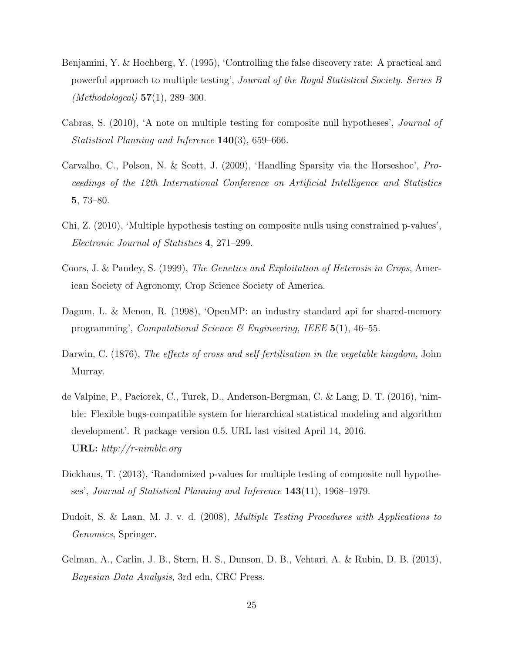- Benjamini, Y. & Hochberg, Y. (1995), 'Controlling the false discovery rate: A practical and powerful approach to multiple testing', Journal of the Royal Statistical Society. Series B (*Methodologcal*)  $57(1)$ , 289–300.
- Cabras, S. (2010), 'A note on multiple testing for composite null hypotheses', Journal of Statistical Planning and Inference 140(3), 659–666.
- Carvalho, C., Polson, N. & Scott, J. (2009), 'Handling Sparsity via the Horseshoe', Proceedings of the 12th International Conference on Artificial Intelligence and Statistics 5, 73–80.
- Chi, Z. (2010), 'Multiple hypothesis testing on composite nulls using constrained p-values', Electronic Journal of Statistics 4, 271–299.
- Coors, J. & Pandey, S. (1999), The Genetics and Exploitation of Heterosis in Crops, American Society of Agronomy, Crop Science Society of America.
- Dagum, L. & Menon, R. (1998), 'OpenMP: an industry standard api for shared-memory programming', Computational Science & Engineering, IEEE  $5(1)$ , 46–55.
- Darwin, C. (1876), The effects of cross and self fertilisation in the vegetable kingdom, John Murray.
- de Valpine, P., Paciorek, C., Turek, D., Anderson-Bergman, C. & Lang, D. T. (2016), 'nimble: Flexible bugs-compatible system for hierarchical statistical modeling and algorithm development'. R package version 0.5. URL last visited April 14, 2016. URL: http://r-nimble.org
- Dickhaus, T. (2013), 'Randomized p-values for multiple testing of composite null hypotheses', Journal of Statistical Planning and Inference 143(11), 1968–1979.
- Dudoit, S. & Laan, M. J. v. d. (2008), Multiple Testing Procedures with Applications to Genomics, Springer.
- Gelman, A., Carlin, J. B., Stern, H. S., Dunson, D. B., Vehtari, A. & Rubin, D. B. (2013), Bayesian Data Analysis, 3rd edn, CRC Press.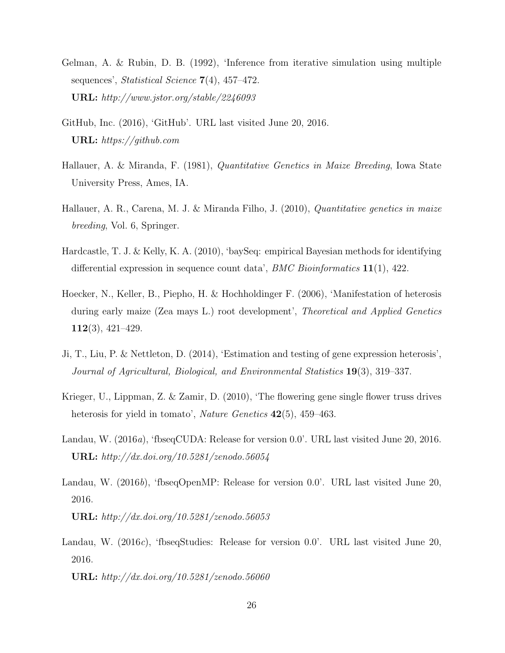- Gelman, A. & Rubin, D. B. (1992), 'Inference from iterative simulation using multiple sequences', Statistical Science 7(4), 457-472. URL: http://www.jstor.org/stable/2246093
- GitHub, Inc. (2016), 'GitHub'. URL last visited June 20, 2016. URL: https://github.com
- Hallauer, A. & Miranda, F. (1981), Quantitative Genetics in Maize Breeding, Iowa State University Press, Ames, IA.
- Hallauer, A. R., Carena, M. J. & Miranda Filho, J. (2010), *Quantitative genetics in maize* breeding, Vol. 6, Springer.
- Hardcastle, T. J. & Kelly, K. A. (2010), 'baySeq: empirical Bayesian methods for identifying differential expression in sequence count data',  $BMC$  Bioinformatics  $11(1)$ , 422.
- Hoecker, N., Keller, B., Piepho, H. & Hochholdinger F. (2006), 'Manifestation of heterosis during early maize (Zea mays L.) root development', Theoretical and Applied Genetics 112(3), 421–429.
- Ji, T., Liu, P. & Nettleton, D. (2014), 'Estimation and testing of gene expression heterosis', Journal of Agricultural, Biological, and Environmental Statistics 19(3), 319–337.
- Krieger, U., Lippman, Z. & Zamir, D. (2010), 'The flowering gene single flower truss drives heterosis for yield in tomato', *Nature Genetics* 42(5), 459–463.
- Landau, W. (2016a), 'fbseqCUDA: Release for version 0.0'. URL last visited June 20, 2016. URL: http://dx.doi.org/10.5281/zenodo.56054
- Landau, W. (2016b), 'fbseqOpenMP: Release for version 0.0'. URL last visited June 20, 2016. URL: http://dx.doi.org/10.5281/zenodo.56053
- Landau, W. (2016c), 'fbseqStudies: Release for version 0.0'. URL last visited June 20, 2016.

URL: http://dx.doi.org/10.5281/zenodo.56060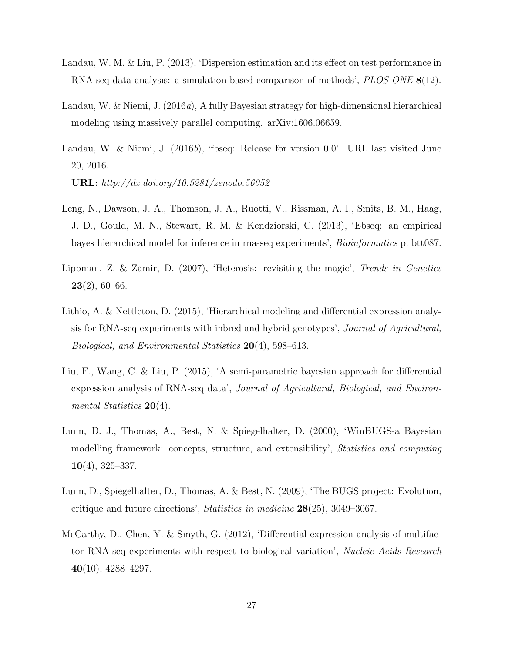- Landau, W. M. & Liu, P. (2013), 'Dispersion estimation and its effect on test performance in RNA-seq data analysis: a simulation-based comparison of methods', PLOS ONE 8(12).
- Landau, W. & Niemi, J. (2016a), A fully Bayesian strategy for high-dimensional hierarchical modeling using massively parallel computing. arXiv:1606.06659.
- Landau, W. & Niemi, J. (2016b), 'fbseq: Release for version 0.0'. URL last visited June 20, 2016.

URL: http://dx.doi.org/10.5281/zenodo.56052

- Leng, N., Dawson, J. A., Thomson, J. A., Ruotti, V., Rissman, A. I., Smits, B. M., Haag, J. D., Gould, M. N., Stewart, R. M. & Kendziorski, C. (2013), 'Ebseq: an empirical bayes hierarchical model for inference in rna-seq experiments', Bioinformatics p. btt087.
- Lippman, Z. & Zamir, D. (2007), 'Heterosis: revisiting the magic', Trends in Genetics  $23(2)$ , 60–66.
- Lithio, A. & Nettleton, D. (2015), 'Hierarchical modeling and differential expression analysis for RNA-seq experiments with inbred and hybrid genotypes', Journal of Agricultural, Biological, and Environmental Statistics 20(4), 598–613.
- Liu, F., Wang, C. & Liu, P. (2015), 'A semi-parametric bayesian approach for differential expression analysis of RNA-seq data', Journal of Agricultural, Biological, and Environmental Statistics 20(4).
- Lunn, D. J., Thomas, A., Best, N. & Spiegelhalter, D. (2000), 'WinBUGS-a Bayesian modelling framework: concepts, structure, and extensibility', Statistics and computing  $10(4)$ , 325–337.
- Lunn, D., Spiegelhalter, D., Thomas, A. & Best, N. (2009), 'The BUGS project: Evolution, critique and future directions', Statistics in medicine 28(25), 3049–3067.
- McCarthy, D., Chen, Y. & Smyth, G. (2012), 'Differential expression analysis of multifactor RNA-seq experiments with respect to biological variation', Nucleic Acids Research  $40(10)$ , 4288-4297.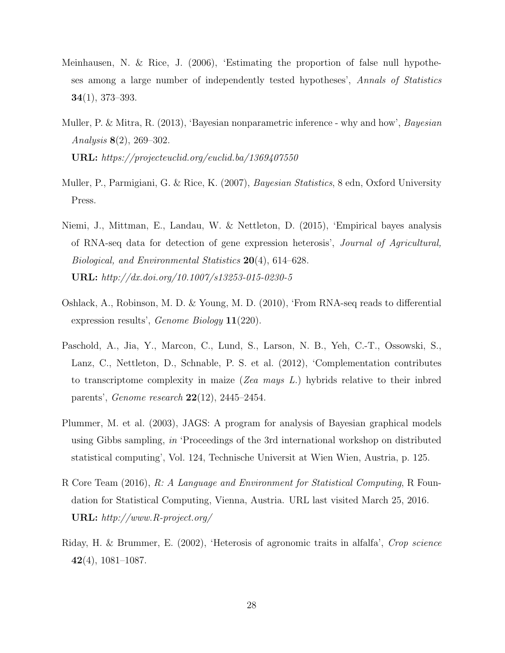- Meinhausen, N. & Rice, J. (2006), 'Estimating the proportion of false null hypotheses among a large number of independently tested hypotheses', Annals of Statistics 34(1), 373–393.
- Muller, P. & Mitra, R. (2013), 'Bayesian nonparametric inference why and how', *Bayesian* Analysis 8(2), 269–302. URL: https://projecteuclid.org/euclid.ba/1369407550
- Muller, P., Parmigiani, G. & Rice, K. (2007), *Bayesian Statistics*, 8 edn, Oxford University Press.
- Niemi, J., Mittman, E., Landau, W. & Nettleton, D. (2015), 'Empirical bayes analysis of RNA-seq data for detection of gene expression heterosis', Journal of Agricultural, Biological, and Environmental Statistics 20(4), 614–628. URL: http://dx.doi.org/10.1007/s13253-015-0230-5
- Oshlack, A., Robinson, M. D. & Young, M. D. (2010), 'From RNA-seq reads to differential expression results', Genome Biology 11(220).
- Paschold, A., Jia, Y., Marcon, C., Lund, S., Larson, N. B., Yeh, C.-T., Ossowski, S., Lanz, C., Nettleton, D., Schnable, P. S. et al. (2012), 'Complementation contributes to transcriptome complexity in maize (Zea mays  $L$ .) hybrids relative to their inbred parents', Genome research 22(12), 2445–2454.
- Plummer, M. et al. (2003), JAGS: A program for analysis of Bayesian graphical models using Gibbs sampling, in 'Proceedings of the 3rd international workshop on distributed statistical computing', Vol. 124, Technische Universit at Wien Wien, Austria, p. 125.
- R Core Team (2016), R: A Language and Environment for Statistical Computing, R Foundation for Statistical Computing, Vienna, Austria. URL last visited March 25, 2016. URL: http://www.R-project.org/
- Riday, H. & Brummer, E. (2002), 'Heterosis of agronomic traits in alfalfa', Crop science 42(4), 1081–1087.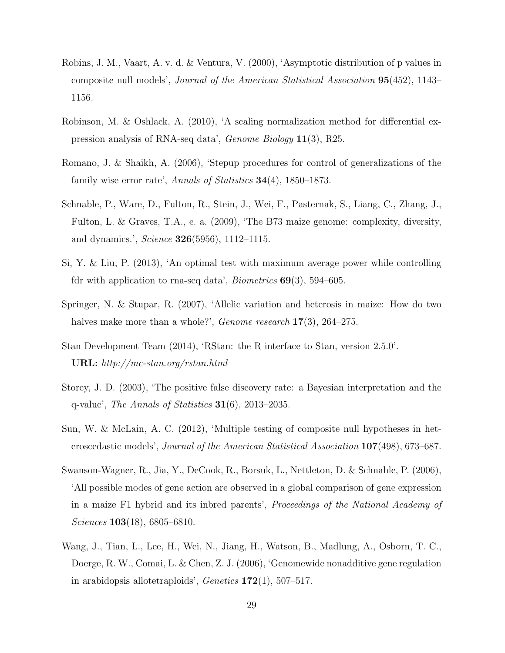- Robins, J. M., Vaart, A. v. d. & Ventura, V. (2000), 'Asymptotic distribution of p values in composite null models', Journal of the American Statistical Association 95(452), 1143– 1156.
- Robinson, M. & Oshlack, A. (2010), 'A scaling normalization method for differential expression analysis of RNA-seq data', Genome Biology 11(3), R25.
- Romano, J. & Shaikh, A. (2006), 'Stepup procedures for control of generalizations of the family wise error rate', Annals of Statistics 34(4), 1850–1873.
- Schnable, P., Ware, D., Fulton, R., Stein, J., Wei, F., Pasternak, S., Liang, C., Zhang, J., Fulton, L. & Graves, T.A., e. a. (2009), 'The B73 maize genome: complexity, diversity, and dynamics.', Science 326(5956), 1112–1115.
- Si, Y. & Liu, P. (2013), 'An optimal test with maximum average power while controlling fdr with application to rna-seq data', *Biometrics*  $69(3)$ , 594–605.
- Springer, N. & Stupar, R. (2007), 'Allelic variation and heterosis in maize: How do two halves make more than a whole?', *Genome research*  $17(3)$ , 264–275.
- Stan Development Team (2014), 'RStan: the R interface to Stan, version 2.5.0'. URL: http://mc-stan.org/rstan.html
- Storey, J. D. (2003), 'The positive false discovery rate: a Bayesian interpretation and the q-value', The Annals of Statistics  $31(6)$ , 2013–2035.
- Sun, W. & McLain, A. C. (2012), 'Multiple testing of composite null hypotheses in heteroscedastic models', Journal of the American Statistical Association 107(498), 673–687.
- Swanson-Wagner, R., Jia, Y., DeCook, R., Borsuk, L., Nettleton, D. & Schnable, P. (2006), 'All possible modes of gene action are observed in a global comparison of gene expression in a maize F1 hybrid and its inbred parents', Proceedings of the National Academy of Sciences 103(18), 6805–6810.
- Wang, J., Tian, L., Lee, H., Wei, N., Jiang, H., Watson, B., Madlung, A., Osborn, T. C., Doerge, R. W., Comai, L. & Chen, Z. J. (2006), 'Genomewide nonadditive gene regulation in arabidopsis allotetraploids', *Genetics*  $172(1)$ , 507–517.